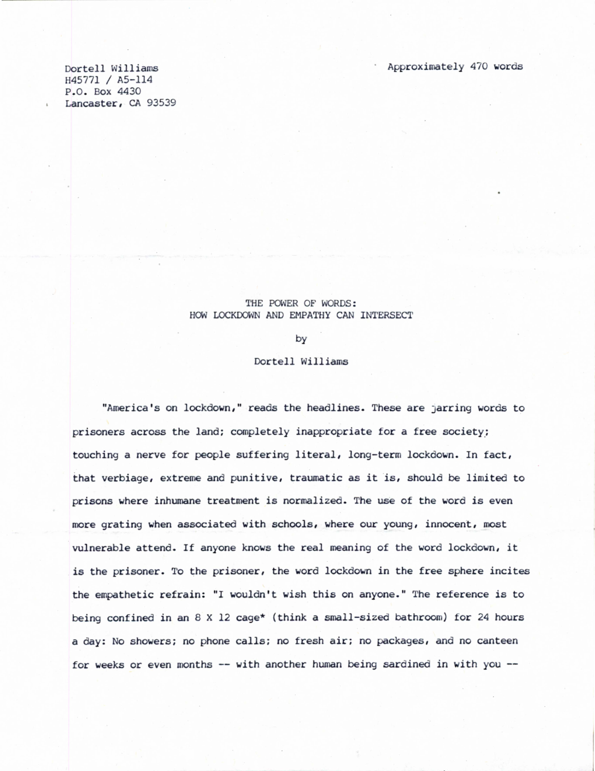Dortell Williams H45771 / A5-114 P.O. Box 4430 Lancaster, CA 93539

## THE POWER OF WORDS: HOW LOCKDOWN AND EMPATHY CAN INTERSECT

by

Dortell Williams

"America's on lockdown," reads the headlines. These are jarring words to prisoners across the land; completely inappropriate for a free society; touching a nerve for people suffering literal, long-term lockdown. In fact, that verbiage, extreme and punitive, traumatic as it is, should be limited to prisons where inhumane treatment is normalized. The use of the word is even more grating when associated with schools, where our young, innocent, most vulnerable attend. If anyone knows the real meaning of the word lockdown, it is the prisoner. To the prisoner, the word lockdown in the free sphere incites the empathetic refrain: "I wouldn't wish this on anyone." The reference is to being confined in an 8 X 12 cage\* (think a small-sized bathroom) for 24 hours a day: No showers; no phone calls; no fresh air; no packages, and no canteen for weeks or even months  $--$  with another human being sardined in with you  $--$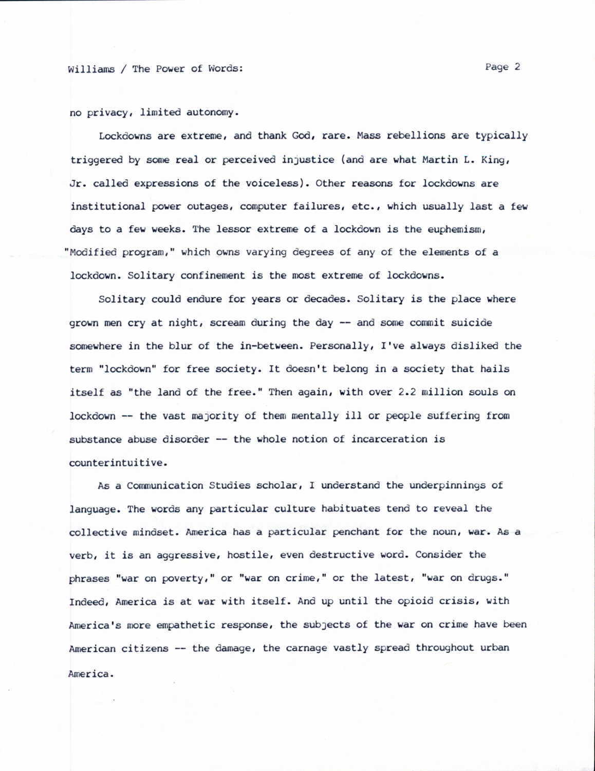no privacy, limited autonomy.

Lockdowns are extreme, and thank God, rare. Mass rebellions are typically triggered by some real or perceived injustice (and are what Martin L. King, Jr. called expressions of the voiceless). Other reasons for lockdowns are institutional power outages, computer failures, etc., which usually last a few days to a few weeks. The lessor extreme of a lockdown is the euphemism, "Modified program," which owns varying degrees of any of the elements of a lockdown. Solitary confinement is the most extreme of lockdowns.

Solitary could endure for years or decades. Solitary is the place where grown men cry at night, scream during the day -- and some commit suicide somewhere in the blur of the in-between. Personally, I've always disliked the term "lockdown" for free society. It doesn't belong in a society that hails itself as "the land of the free." Then again, with over 2.2 million souls on lockdown -- the vast majority of them mentally ill or people suffering from substance abuse disorder -- the whole notion of incarceration is counterintuitive.

As a Communication Studies scholar, I understand the underpinnings of language. The words any particular culture habituates tend to reveal the collective mindset. America has a particular penchant for the noun, war. As a verb, it is an aggressive, hostile, even destructive word. Consider the phrases "war on poverty," or "war on crime," or the latest, "war on drugs." Indeed, America is at war with itself. And up until the opioid crisis, with America's more empathetic response, the subjects of the war on crime have been American citizens -- the damage, the carnage vastly spread throughout urban America.